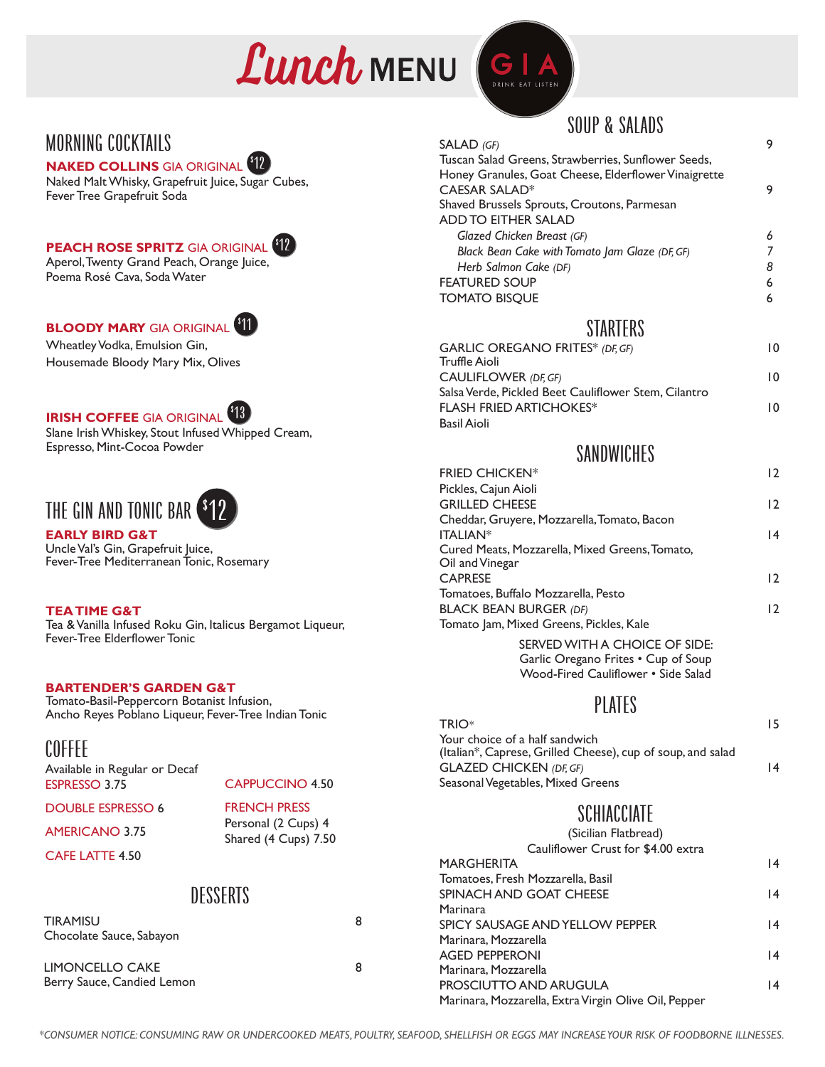



### MORNING COCKTAILS

#### **NAKED COLLINS** GIA ORIGINAL \$ <u>12</u>

Naked Malt Whisky, Grapefruit Juice, Sugar Cubes, Fever Tree Grapefruit Soda

## **PEACH ROSE SPRITZ** GIA ORIGINAL 12



\$

Aperol, Twenty Grand Peach, Orange Juice, Poema Rosé Cava, Soda Water

# **BLOODY MARY** GIA ORIGINAL 11

Wheatley Vodka, Emulsion Gin, Housemade Bloody Mary Mix, Olives

#### **IRISH COFFEE** GIA ORIGINAL 13\$

Slane Irish Whiskey, Stout Infused Whipped Cream, Espresso, Mint-Cocoa Powder

## THE GIN AND TONIC BAR  $\bullet$ 12

**EARLY BIRD G&T** Uncle Val's Gin, Grapefruit Juice, Fever-Tree Mediterranean Tonic, Rosemary

#### **TEA TIME G&T**

Tea & Vanilla Infused Roku Gin, Italicus Bergamot Liqueur, Fever-Tree Elderflower Tonic

#### **BARTENDER'S GARDEN G&T**

Tomato-Basil-Peppercorn Botanist Infusion, Ancho Reyes Poblano Liqueur, Fever-Tree Indian Tonic

#### COFFEE

**DESSERTS** TIRAMISU 8 Chocolate Sauce, Sabayon Available in Regular or Decaf ESPRESSO 3.75 DOUBLE ESPRESSO 6 AMERICANO 3.75 CAFE LATTE 4.50 CAPPUCCINO 4.50 FRENCH PRESS Personal (2 Cups) 4 Shared (4 Cups) 7.50

LIMONCELLO CAKE 8 Berry Sauce, Candied Lemon

### SOUP & SALADS

| SALAD (GF)                                           |   |
|------------------------------------------------------|---|
| Tuscan Salad Greens, Strawberries, Sunflower Seeds,  |   |
| Honey Granules, Goat Cheese, Elderflower Vinaigrette |   |
| CAESAR SALAD*                                        | 9 |
| Shaved Brussels Sprouts, Croutons, Parmesan          |   |
| ADD TO EITHER SALAD                                  |   |
| Glazed Chicken Breast (GF)                           | 6 |
| Black Bean Cake with Tomato Jam Glaze (DF, GF)       |   |
| Herb Salmon Cake (DF)                                | 8 |
| <b>FEATURED SOUP</b>                                 | 6 |
| <b>TOMATO BISQUE</b>                                 | 6 |
|                                                      |   |

#### **STARTERS**

| <b>GARLIC OREGANO FRITES* (DF, GF)</b>               | 10 |
|------------------------------------------------------|----|
| Truffle Aioli                                        |    |
| CAULIFLOWER (DF, GF)                                 | 10 |
| Salsa Verde, Pickled Beet Cauliflower Stem, Cilantro |    |
| <b>FLASH FRIED ARTICHOKES*</b>                       | 10 |
| Basil Aioli                                          |    |
|                                                      |    |

#### **SANDWICHES**

| <b>FRIED CHICKEN*</b>                                             | 12             |
|-------------------------------------------------------------------|----------------|
| Pickles, Cajun Aioli                                              |                |
| <b>GRILLED CHEESE</b>                                             | 12             |
| Cheddar, Gruyere, Mozzarella, Tomato, Bacon                       |                |
| <b>ITALIAN*</b>                                                   | 14             |
| Cured Meats, Mozzarella, Mixed Greens, Tomato,<br>Oil and Vinegar |                |
| <b>CAPRESE</b>                                                    | $\overline{2}$ |
| Tomatoes, Buffalo Mozzarella, Pesto                               |                |
| <b>BLACK BEAN BURGER (DF)</b>                                     | 12             |
| Tomato Jam, Mixed Greens, Pickles, Kale                           |                |
|                                                                   |                |

SERVED WITH A CHOICE OF SIDE: Garlic Oregano Frites • Cup of Soup Wood-Fired Cauliflower • Side Salad

#### **PLATES**

TRIO*\** 15 Your choice of a half sandwich (Italian\*, Caprese, Grilled Cheese), cup of soup, and salad GLAZED CHICKEN *(DF, GF)* 14 Seasonal Vegetables, Mixed Greens

### **SCHIACCIATE**

| (Sicilian Flatbread)                                 |    |
|------------------------------------------------------|----|
| Cauliflower Crust for \$4.00 extra                   |    |
| <b>MARGHERITA</b>                                    | 14 |
| Tomatoes, Fresh Mozzarella, Basil                    |    |
| SPINACH AND GOAT CHEESE                              | 14 |
| Marinara                                             |    |
| SPICY SAUSAGE AND YELLOW PEPPER                      | 14 |
| Marinara, Mozzarella                                 |    |
| <b>AGED PEPPERONI</b>                                | 14 |
| Marinara, Mozzarella                                 |    |
| PROSCIUTTO AND ARUGULA                               | 14 |
| Marinara, Mozzarella, Extra Virgin Olive Oil, Pepper |    |

*\*CONSUMER NOTICE: CONSUMING RAW OR UNDERCOOKED MEATS, POULTRY, SEAFOOD, SHELLFISH OR EGGS MAY INCREASE YOUR RISK OF FOODBORNE ILLNESSES.*